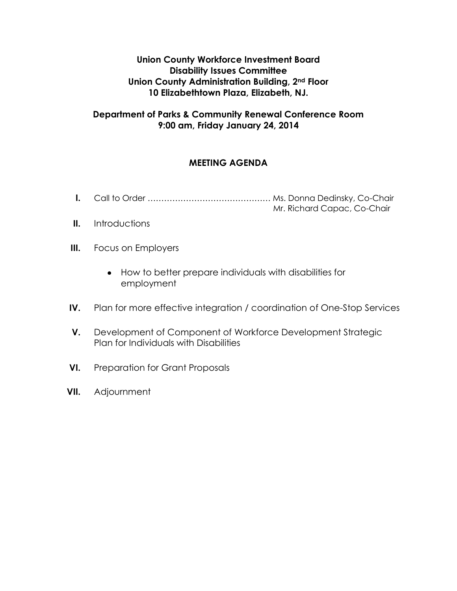**Union County Workforce Investment Board Disability Issues Committee Union County Administration Building, 2nd Floor 10 Elizabethtown Plaza, Elizabeth, NJ.**

### **Department of Parks & Community Renewal Conference Room 9:00 am, Friday January 24, 2014**

## **MEETING AGENDA**

- **I.** Call to Order ……………………………………… Ms. Donna Dedinsky, Co-Chair
	- Mr. Richard Capac, Co-Chair

- **II.** Introductions
- **III.** Focus on Employers
	- How to better prepare individuals with disabilities for employment
- **IV.** Plan for more effective integration / coordination of One-Stop Services
- **V.** Development of Component of Workforce Development Strategic Plan for Individuals with Disabilities
- **VI.** Preparation for Grant Proposals
- **VII.** Adjournment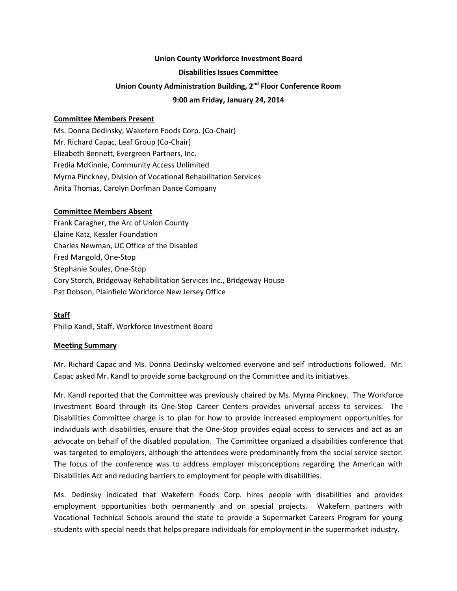# **Union County Workforce Investment Board Disabilities Issues Committee Union County Administration Building, 2nd Floor Conference Room 9:00 am Friday, January 24, 2014**

#### **Committee Members Present**

Ms. Donna Dedinsky, Wakefern Foods Corp. (Co-Chair) Mr. Richard Capac, Leaf Group (Co-Chair) Elizabeth Bennett, Evergreen Partners, Inc. Fredia McKinnie, Community Access Unlimited Myrna Pinckney, Division of Vocational Rehabilitation Services Anita Thomas, Carolyn Dorfman Dance Company

#### **Committee Members Absent**

Frank Caragher, the Arc of Union County Elaine Katz, Kessler Foundation Charles Newman, UC Office of the Disabled Fred Mangold, One-Stop Stephanie Soules, One-Stop Cory Storch, Bridgeway Rehabilitation Services Inc., Bridgeway House Pat Dobson, Plainfield Workforce New Jersey Office

#### **Staff**

Philip Kandl, Staff, Workforce Investment Board

#### **Meeting Summary**

Mr. Richard Capac and Ms. Donna Dedinsky welcomed everyone and self introductions followed. Mr. Capac asked Mr. Kandl to provide some background on the Committee and its initiatives.

Mr. Kandl reported that the Committee was previously chaired by Ms. Myrna Pinckney. The Workforce Investment Board through its One-Stop Career Centers provides universal access to services. The Disabilities Committee charge is to plan for how to provide increased employment opportunities for individuals with disabilities, ensure that the One-Stop provides equal access to services and act as an advocate on behalf of the disabled population. The Committee organized a disabilities conference that was targeted to employers, although the attendees were predominantly from the social service sector. The focus of the conference was to address employer misconceptions regarding the American with Disabilities Act and reducing barriers to employment for people with disabilities.

Ms. Dedinsky indicated that Wakefern Foods Corp. hires people with disabilities and provides employment opportunities both permanently and on special projects. Wakefern partners with Vocational Technical Schools around the state to provide a Supermarket Careers Program for young students with special needs that helps prepare individuals for employment in the supermarket industry.